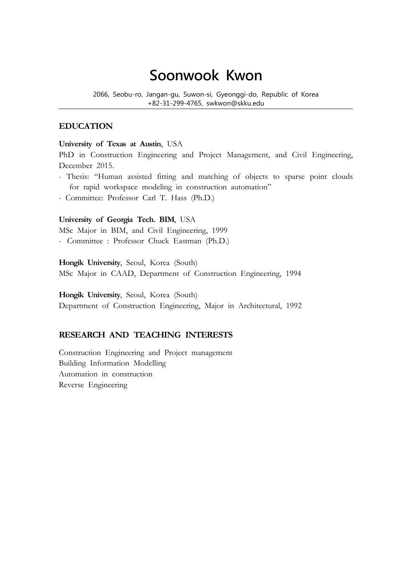# **Soonwook Kwon**

2066, Seobu-ro, Jangan-gu, Suwon-si, Gyeonggi-do, Republic of Korea +82-31-299-4765, swkwon@skku.edu

### **EDUCATION**

#### **University of Texas at Austin**, USA

PhD in Construction Engineering and Project Management, and Civil Engineering, December 2015.

- Thesis: "Human assisted fitting and matching of objects to sparse point clouds for rapid workspace modeling in construction automation"
- Committee: Professor Carl T. Hass (Ph.D.)

#### **University of Georgia Tech. BIM**, USA

MSc Major in BIM, and Civil Engineering, 1999 - Committee : Professor Chuck Eastman (Ph.D.)

**Hongik University**, Seoul, Korea (South)

MSc Major in CAAD, Department of Construction Engineering, 1994

**Hongik University**, Seoul, Korea (South)

Department of Construction Engineering, Major in Architectural, 1992

## **RESEARCH AND TEACHING INTERESTS**

Construction Engineering and Project management Building Information Modelling Automation in construction Reverse Engineering